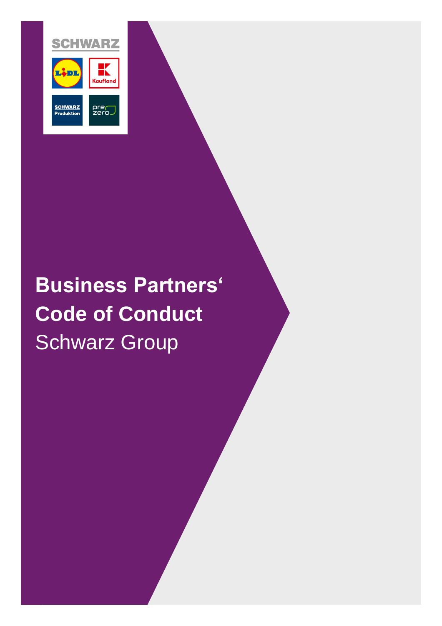

# **Business Partners' Code of Conduct**  Schwarz Group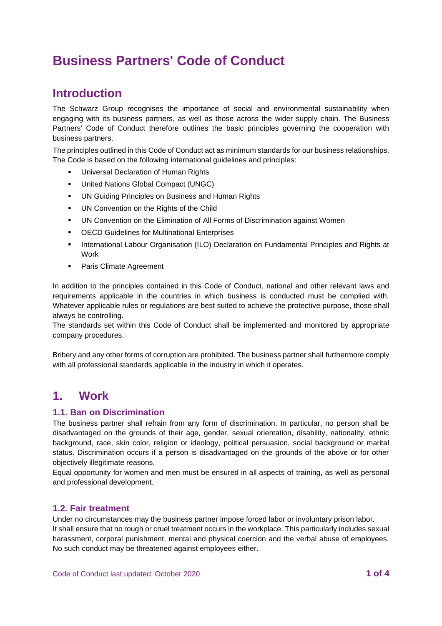## **Business Partners' Code of Conduct**

## **Introduction**

The Schwarz Group recognises the importance of social and environmental sustainability when engaging with its business partners, as well as those across the wider supply chain. The Business Partners' Code of Conduct therefore outlines the basic principles governing the cooperation with business partners.

The principles outlined in this Code of Conduct act as minimum standards for our business relationships. The Code is based on the following international guidelines and principles:

- **■** Universal Declaration of Human Rights
- United Nations Global Compact (UNGC)
- UN Guiding Principles on Business and Human Rights
- UN Convention on the Rights of the Child
- UN Convention on the Elimination of All Forms of Discrimination against Women
- OECD Guidelines for Multinational Enterprises
- **International Labour Organisation (ILO) Declaration on Fundamental Principles and Rights at** Work
- Paris Climate Agreement

In addition to the principles contained in this Code of Conduct, national and other relevant laws and requirements applicable in the countries in which business is conducted must be complied with. Whatever applicable rules or regulations are best suited to achieve the protective purpose, those shall always be controlling.

The standards set within this Code of Conduct shall be implemented and monitored by appropriate company procedures.

Bribery and any other forms of corruption are prohibited. The business partner shall furthermore comply with all professional standards applicable in the industry in which it operates.

### **1. Work**

#### **1.1. Ban on Discrimination**

The business partner shall refrain from any form of discrimination. In particular, no person shall be disadvantaged on the grounds of their age, gender, sexual orientation, disability, nationality, ethnic background, race, skin color, religion or ideology, political persuasion, social background or marital status. Discrimination occurs if a person is disadvantaged on the grounds of the above or for other objectively illegitimate reasons.

Equal opportunity for women and men must be ensured in all aspects of training, as well as personal and professional development.

#### **1.2. Fair treatment**

Under no circumstances may the business partner impose forced labor or involuntary prison labor. It shall ensure that no rough or cruel treatment occurs in the workplace. This particularly includes sexual harassment, corporal punishment, mental and physical coercion and the verbal abuse of employees. No such conduct may be threatened against employees either.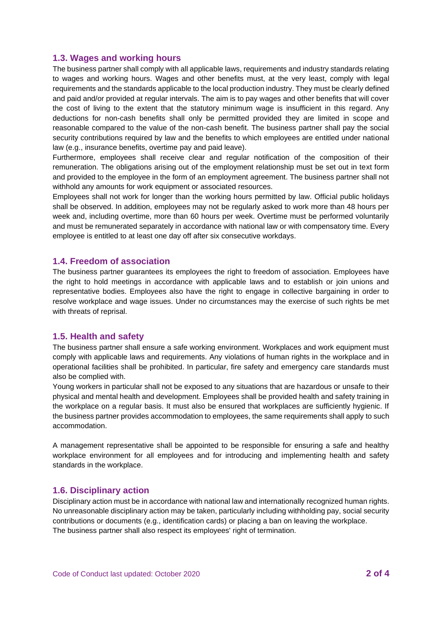#### **1.3. Wages and working hours**

The business partner shall comply with all applicable laws, requirements and industry standards relating to wages and working hours. Wages and other benefits must, at the very least, comply with legal requirements and the standards applicable to the local production industry. They must be clearly defined and paid and/or provided at regular intervals. The aim is to pay wages and other benefits that will cover the cost of living to the extent that the statutory minimum wage is insufficient in this regard. Any deductions for non-cash benefits shall only be permitted provided they are limited in scope and reasonable compared to the value of the non-cash benefit. The business partner shall pay the social security contributions required by law and the benefits to which employees are entitled under national law (e.g., insurance benefits, overtime pay and paid leave).

Furthermore, employees shall receive clear and regular notification of the composition of their remuneration. The obligations arising out of the employment relationship must be set out in text form and provided to the employee in the form of an employment agreement. The business partner shall not withhold any amounts for work equipment or associated resources.

Employees shall not work for longer than the working hours permitted by law. Official public holidays shall be observed. In addition, employees may not be regularly asked to work more than 48 hours per week and, including overtime, more than 60 hours per week. Overtime must be performed voluntarily and must be remunerated separately in accordance with national law or with compensatory time. Every employee is entitled to at least one day off after six consecutive workdays.

#### **1.4. Freedom of association**

The business partner guarantees its employees the right to freedom of association. Employees have the right to hold meetings in accordance with applicable laws and to establish or join unions and representative bodies. Employees also have the right to engage in collective bargaining in order to resolve workplace and wage issues. Under no circumstances may the exercise of such rights be met with threats of reprisal.

#### **1.5. Health and safety**

The business partner shall ensure a safe working environment. Workplaces and work equipment must comply with applicable laws and requirements. Any violations of human rights in the workplace and in operational facilities shall be prohibited. In particular, fire safety and emergency care standards must also be complied with.

Young workers in particular shall not be exposed to any situations that are hazardous or unsafe to their physical and mental health and development. Employees shall be provided health and safety training in the workplace on a regular basis. It must also be ensured that workplaces are sufficiently hygienic. If the business partner provides accommodation to employees, the same requirements shall apply to such accommodation.

A management representative shall be appointed to be responsible for ensuring a safe and healthy workplace environment for all employees and for introducing and implementing health and safety standards in the workplace.

#### **1.6. Disciplinary action**

Disciplinary action must be in accordance with national law and internationally recognized human rights. No unreasonable disciplinary action may be taken, particularly including withholding pay, social security contributions or documents (e.g., identification cards) or placing a ban on leaving the workplace. The business partner shall also respect its employees' right of termination.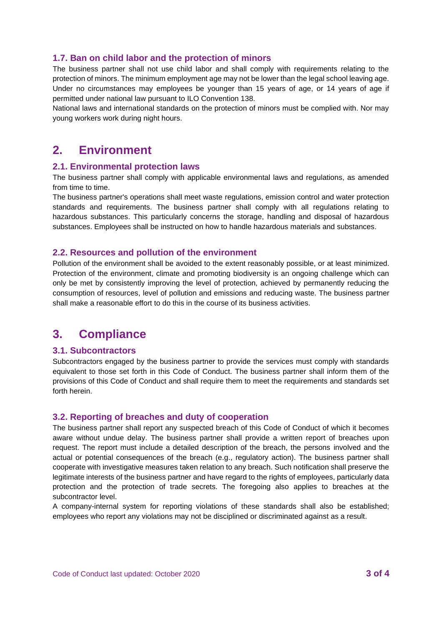#### **1.7. Ban on child labor and the protection of minors**

The business partner shall not use child labor and shall comply with requirements relating to the protection of minors. The minimum employment age may not be lower than the legal school leaving age. Under no circumstances may employees be younger than 15 years of age, or 14 years of age if permitted under national law pursuant to ILO Convention 138.

National laws and international standards on the protection of minors must be complied with. Nor may young workers work during night hours.

## **2. Environment**

#### **2.1. Environmental protection laws**

The business partner shall comply with applicable environmental laws and regulations, as amended from time to time.

The business partner's operations shall meet waste regulations, emission control and water protection standards and requirements. The business partner shall comply with all regulations relating to hazardous substances. This particularly concerns the storage, handling and disposal of hazardous substances. Employees shall be instructed on how to handle hazardous materials and substances.

#### **2.2. Resources and pollution of the environment**

Pollution of the environment shall be avoided to the extent reasonably possible, or at least minimized. Protection of the environment, climate and promoting biodiversity is an ongoing challenge which can only be met by consistently improving the level of protection, achieved by permanently reducing the consumption of resources, level of pollution and emissions and reducing waste. The business partner shall make a reasonable effort to do this in the course of its business activities.

## **3. Compliance**

#### **3.1. Subcontractors**

Subcontractors engaged by the business partner to provide the services must comply with standards equivalent to those set forth in this Code of Conduct. The business partner shall inform them of the provisions of this Code of Conduct and shall require them to meet the requirements and standards set forth herein.

#### **3.2. Reporting of breaches and duty of cooperation**

The business partner shall report any suspected breach of this Code of Conduct of which it becomes aware without undue delay. The business partner shall provide a written report of breaches upon request. The report must include a detailed description of the breach, the persons involved and the actual or potential consequences of the breach (e.g., regulatory action). The business partner shall cooperate with investigative measures taken relation to any breach. Such notification shall preserve the legitimate interests of the business partner and have regard to the rights of employees, particularly data protection and the protection of trade secrets. The foregoing also applies to breaches at the subcontractor level.

A company-internal system for reporting violations of these standards shall also be established; employees who report any violations may not be disciplined or discriminated against as a result.